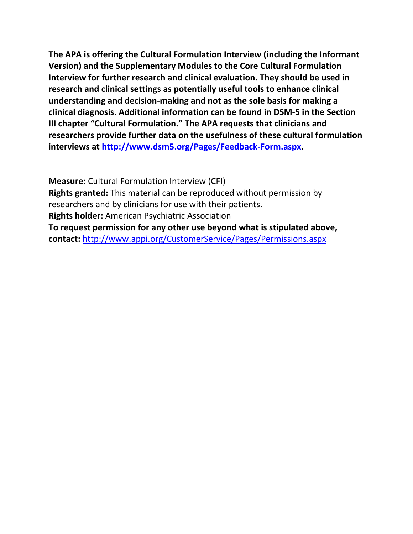**The APA is offering the Cultural Formulation Interview (including the Informant Version) and the Supplementary Modules to the Core Cultural Formulation Interview for further research and clinical evaluation. They should be used in research and clinical settings as potentially useful tools to enhance clinical understanding and decision-making and not as the sole basis for making a clinical diagnosis. Additional information can be found in DSM-5 in the Section III chapter "Cultural Formulation." The APA requests that clinicians and researchers provide further data on the usefulness of these cultural formulation interviews at [http://www.dsm5.org/Pages/Feedback-Form.aspx.](http://www.dsm5.org/Pages/Feedback-Form.aspx)**

**Measure:** Cultural Formulation Interview (CFI) **Rights granted:** This material can be reproduced without permission by researchers and by clinicians for use with their patients. **Rights holder:** American Psychiatric Association **To request permission for any other use beyond what is stipulated above, contact:** <http://www.appi.org/CustomerService/Pages/Permissions.aspx>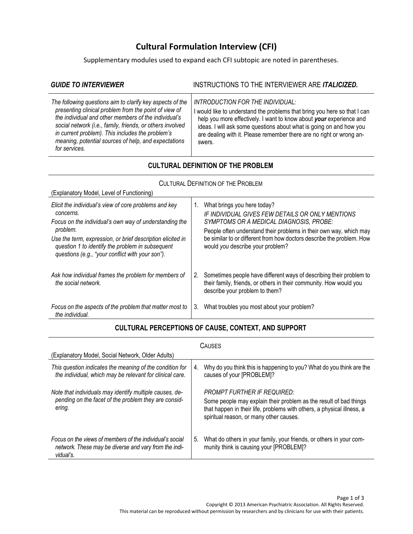# **Cultural Formulation Interview (CFI)**

Supplementary modules used to expand each CFI subtopic are noted in parentheses.

| <b>GUIDE TO INTERVIEWER</b>                                                                                                                                                                                                                                                                                                                                          | INSTRUCTIONS TO THE INTERVIEWER ARE ITALICIZED.                                                                                                                                                                                                                                                                                               |
|----------------------------------------------------------------------------------------------------------------------------------------------------------------------------------------------------------------------------------------------------------------------------------------------------------------------------------------------------------------------|-----------------------------------------------------------------------------------------------------------------------------------------------------------------------------------------------------------------------------------------------------------------------------------------------------------------------------------------------|
| The following questions aim to clarify key aspects of the<br>presenting clinical problem from the point of view of<br>the individual and other members of the individual's<br>social network (i.e., family, friends, or others involved<br>in current problem). This includes the problem's<br>meaning, potential sources of help, and expectations<br>for services. | INTRODUCTION FOR THE INDIVIDUAL:<br>I would like to understand the problems that bring you here so that I can<br>help you more effectively. I want to know about your experience and<br>ideas. I will ask some questions about what is going on and how you<br>are dealing with it. Please remember there are no right or wrong an-<br>swers. |

## **CULTURAL DEFINITION OF THE PROBLEM**

| <b>CULTURAL DEFINITION OF THE PROBLEM</b>                                                                                                                                                                                                                                                                      |    |                                                                                                                                                                                                                                                                                                               |  |  |  |
|----------------------------------------------------------------------------------------------------------------------------------------------------------------------------------------------------------------------------------------------------------------------------------------------------------------|----|---------------------------------------------------------------------------------------------------------------------------------------------------------------------------------------------------------------------------------------------------------------------------------------------------------------|--|--|--|
| (Explanatory Model, Level of Functioning)                                                                                                                                                                                                                                                                      |    |                                                                                                                                                                                                                                                                                                               |  |  |  |
| Elicit the individual's view of core problems and key<br>concerns.<br>Focus on the individual's own way of understanding the<br>problem.<br>Use the term, expression, or brief description elicited in<br>question 1 to identify the problem in subsequent<br>questions (e.g., "your conflict with your son"). | 1. | What brings you here today?<br>IF INDIVIDUAL GIVES FEW DETAILS OR ONLY MENTIONS<br>SYMPTOMS OR A MEDICAL DIAGNOSIS, PROBE:<br>People often understand their problems in their own way, which may<br>be similar to or different from how doctors describe the problem. How<br>would you describe your problem? |  |  |  |
| Ask how individual frames the problem for members of<br>the social network.                                                                                                                                                                                                                                    | 2. | Sometimes people have different ways of describing their problem to<br>their family, friends, or others in their community. How would you<br>describe your problem to them?                                                                                                                                   |  |  |  |
| Focus on the aspects of the problem that matter most to<br>the individual.                                                                                                                                                                                                                                     | 3. | What troubles you most about your problem?                                                                                                                                                                                                                                                                    |  |  |  |

## **CULTURAL PERCEPTIONS OF CAUSE, CONTEXT, AND SUPPORT**

| CAUSES                                                                                                                         |    |                                                                                                                                                                                                                       |  |  |  |
|--------------------------------------------------------------------------------------------------------------------------------|----|-----------------------------------------------------------------------------------------------------------------------------------------------------------------------------------------------------------------------|--|--|--|
| (Explanatory Model, Social Network, Older Adults)                                                                              |    |                                                                                                                                                                                                                       |  |  |  |
| This question indicates the meaning of the condition for<br>the individual, which may be relevant for clinical care.           | 4. | Why do you think this is happening to you? What do you think are the<br>causes of your [PROBLEM]?                                                                                                                     |  |  |  |
| Note that individuals may identify multiple causes, de-<br>pending on the facet of the problem they are consid-<br>ering.      |    | PROMPT FURTHER IF REQUIRED:<br>Some people may explain their problem as the result of bad things<br>that happen in their life, problems with others, a physical illness, a<br>spiritual reason, or many other causes. |  |  |  |
| Focus on the views of members of the individual's social<br>network. These may be diverse and vary from the indi-<br>vidual's. | 5. | What do others in your family, your friends, or others in your com-<br>munity think is causing your [PROBLEM]?                                                                                                        |  |  |  |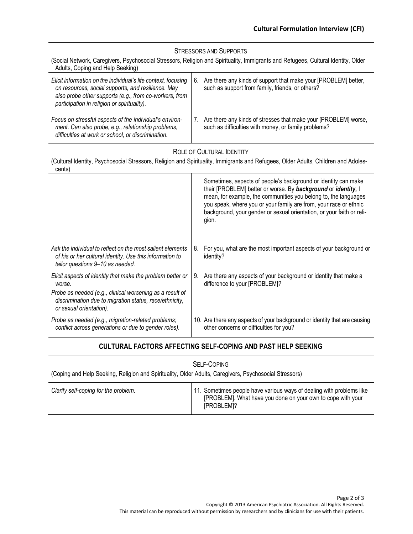#### STRESSORS AND SUPPORTS

(Social Network, Caregivers, Psychosocial Stressors, Religion and Spirituality, Immigrants and Refugees, Cultural Identity, Older Adults, Coping and Help Seeking) *Elicit information on the individual's life context, focusing*  Are there any kinds of support that make your [PROBLEM] better

| Elicit miorination on the individual s life context, locusing<br>on resources, social supports, and resilience. May<br>also probe other supports (e.g., from co-workers, from<br>participation in religion or spirituality). |    | o. Are there any kinds of support that make your (PROBLEM) better,<br>such as support from family, friends, or others?  |
|------------------------------------------------------------------------------------------------------------------------------------------------------------------------------------------------------------------------------|----|-------------------------------------------------------------------------------------------------------------------------|
| Focus on stressful aspects of the individual's environ-<br>ment. Can also probe, e.g., relationship problems,<br>difficulties at work or school, or discrimination.                                                          | 7. | Are there any kinds of stresses that make your [PROBLEM] worse,<br>such as difficulties with money, or family problems? |

ROLE OF CULTURAL IDENTITY

(Cultural Identity, Psychosocial Stressors, Religion and Spirituality, Immigrants and Refugees, Older Adults, Children and Adolescents)

|                                                                                                                                                            |    | Sometimes, aspects of people's background or identity can make<br>their [PROBLEM] better or worse. By background or identity, I<br>mean, for example, the communities you belong to, the languages<br>you speak, where you or your family are from, your race or ethnic<br>background, your gender or sexual orientation, or your faith or reli-<br>gion. |
|------------------------------------------------------------------------------------------------------------------------------------------------------------|----|-----------------------------------------------------------------------------------------------------------------------------------------------------------------------------------------------------------------------------------------------------------------------------------------------------------------------------------------------------------|
| Ask the individual to reflect on the most salient elements<br>of his or her cultural identity. Use this information to<br>tailor questions 9-10 as needed. | 8. | For you, what are the most important aspects of your background or<br>identity?                                                                                                                                                                                                                                                                           |
| Elicit aspects of identity that make the problem better or<br>worse.                                                                                       | 9. | Are there any aspects of your background or identity that make a<br>difference to your [PROBLEM]?                                                                                                                                                                                                                                                         |
| Probe as needed (e.g., clinical worsening as a result of<br>discrimination due to migration status, race/ethnicity,<br>or sexual orientation).             |    |                                                                                                                                                                                                                                                                                                                                                           |
| Probe as needed (e.g., migration-related problems;<br>conflict across generations or due to gender roles).                                                 |    | 10. Are there any aspects of your background or identity that are causing<br>other concerns or difficulties for you?                                                                                                                                                                                                                                      |
|                                                                                                                                                            |    |                                                                                                                                                                                                                                                                                                                                                           |

#### **CULTURAL FACTORS AFFECTING SELF-COPING AND PAST HELP SEEKING**

SELF-COPING (Coping and Help Seeking, Religion and Spirituality, Older Adults, Caregivers, Psychosocial Stressors) *Clarify self-coping for the problem.* 11. Sometimes people have various ways of dealing with problems like [PROBLEM]. What have you done on your own to cope with your [PROBLEM]?